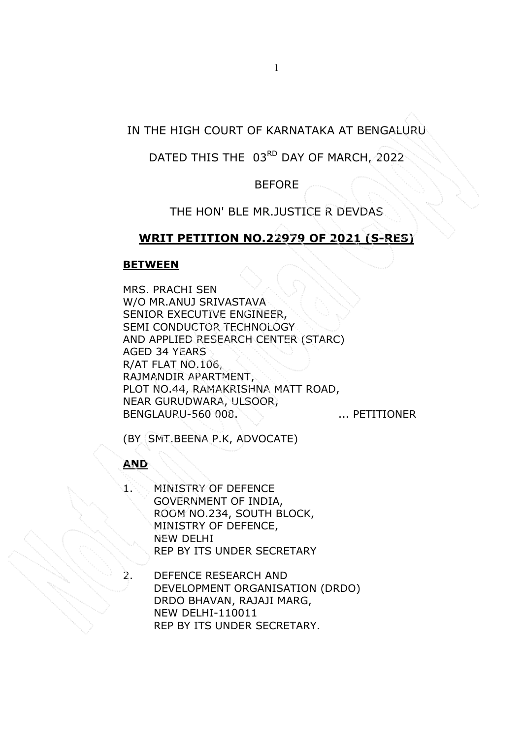DATED THIS THE 03RD DAY OF MARCH, 2022

BEFORE

THE HON' BLE MR.JUSTICE R DEVDAS

## **WRIT PETITION NO.22979 OF 2021 (S-RES)**

### **BETWEEN**

MRS. PRACHI SEN W/O MR.ANUJ SRIVASTAVA SENIOR EXECUTIVE ENGINEER, SEMI CONDUCTOR TECHNOLOGY AND APPLIED RESEARCH CENTER (STARC) AGED 34 YEARS R/AT FLAT NO.106, RAJMANDIR APARTMENT, PLOT NO.44, RAMAKRISHNA MATT ROAD, NEAR GURUDWARA, ULSOOR, BENGLAURU-560 008. ... ... PETITIONER

(BY SMT.BEENA P.K, ADVOCATE)

**AND**

- 1. MINISTRY OF DEFENCE GOVERNMENT OF INDIA, ROOM NO.234, SOUTH BLOCK, MINISTRY OF DEFENCE, NEW DELHI REP BY ITS UNDER SECRETARY
- 2. DEFENCE RESEARCH AND DEVELOPMENT ORGANISATION (DRDO) DRDO BHAVAN, RAJAJI MARG, NEW DELHI-110011 REP BY ITS UNDER SECRETARY.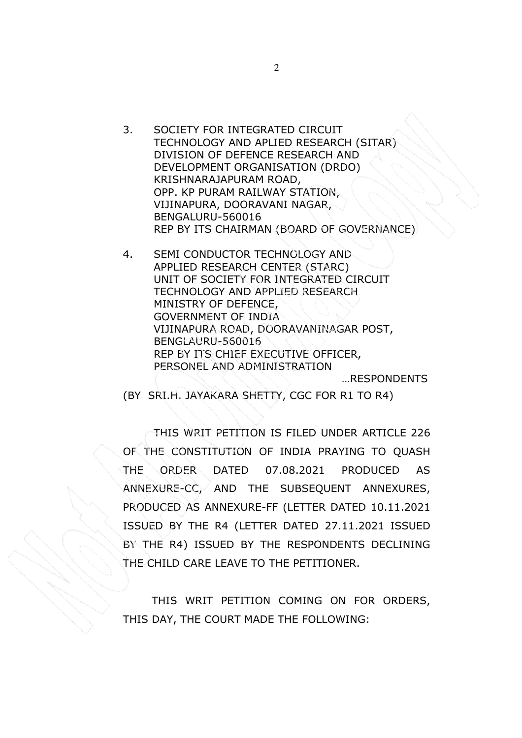3. SOCIETY FOR INTEGRATED CIRCUIT TECHNOLOGY AND APLIED RESEARCH (SITAR) DIVISION OF DEFENCE RESEARCH AND DEVELOPMENT ORGANISATION (DRDO) KRISHNARAJAPURAM ROAD, OPP. KP PURAM RAILWAY STATION, VIJINAPURA, DOORAVANI NAGAR, BENGALURU-560016 REP BY ITS CHAIRMAN (BOARD OF GOVERNANCE)

4. SEMI CONDUCTOR TECHNOLOGY AND APPLIED RESEARCH CENTER (STARC) UNIT OF SOCIETY FOR INTEGRATED CIRCUIT TECHNOLOGY AND APPLIED RESEARCH MINISTRY OF DEFENCE, GOVERNMENT OF INDIA VIJINAPURA ROAD, DOORAVANINAGAR POST, BENGLAURU-560016 REP BY ITS CHIEF EXECUTIVE OFFICER, PERSONEL AND ADMINISTRATION …RESPONDENTS

(BY SRI.H. JAYAKARA SHETTY, CGC FOR R1 TO R4)

THIS WRIT PETITION IS FILED UNDER ARTICLE 226 OF THE CONSTITUTION OF INDIA PRAYING TO QUASH THE ORDER DATED 07.08.2021 PRODUCED AS ANNEXURE-CC, AND THE SUBSEQUENT ANNEXURES, PRODUCED AS ANNEXURE-FF (LETTER DATED 10.11.2021 ISSUED BY THE R4 (LETTER DATED 27.11.2021 ISSUED BY THE R4) ISSUED BY THE RESPONDENTS DECLINING THE CHILD CARE LEAVE TO THE PETITIONER.

 THIS WRIT PETITION COMING ON FOR ORDERS, THIS DAY, THE COURT MADE THE FOLLOWING: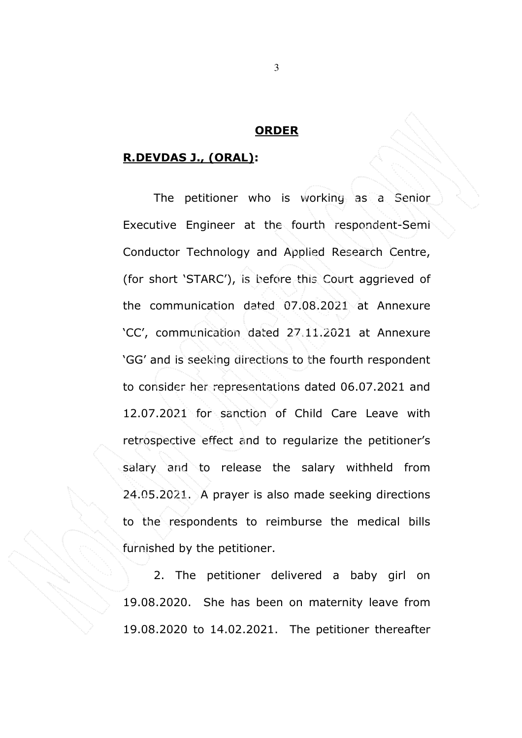#### **ORDER**

#### **R.DEVDAS J., (ORAL):**

The petitioner who is working as a Senior Executive Engineer at the fourth respondent-Semi Conductor Technology and Applied Research Centre, (for short 'STARC'), is before this Court aggrieved of the communication dated 07.08.2021 at Annexure 'CC', communication dated 27.11.2021 at Annexure 'GG' and is seeking directions to the fourth respondent to consider her representations dated 06.07.2021 and 12.07.2021 for sanction of Child Care Leave with retrospective effect and to regularize the petitioner's salary and to release the salary withheld from 24.05.2021. A prayer is also made seeking directions to the respondents to reimburse the medical bills furnished by the petitioner.

2. The petitioner delivered a baby girl on 19.08.2020. She has been on maternity leave from 19.08.2020 to 14.02.2021. The petitioner thereafter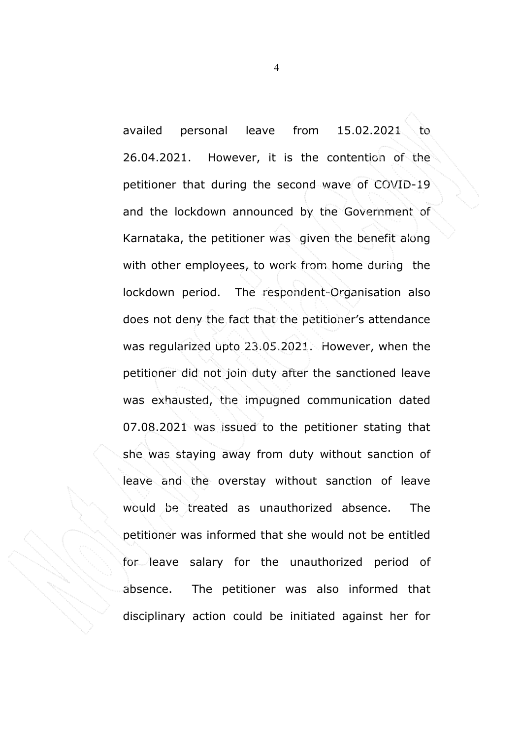availed personal leave from 15.02.2021 to 26.04.2021. However, it is the contention of the petitioner that during the second wave of COVID-19 and the lockdown announced by the Government of Karnataka, the petitioner was given the benefit along with other employees, to work from home during the lockdown period. The respondent-Organisation also does not deny the fact that the petitioner's attendance was regularized upto 23.05.2021. However, when the petitioner did not join duty after the sanctioned leave was exhausted, the impugned communication dated 07.08.2021 was issued to the petitioner stating that she was staying away from duty without sanction of leave and the overstay without sanction of leave would be treated as unauthorized absence. The petitioner was informed that she would not be entitled for leave salary for the unauthorized period of absence. The petitioner was also informed that disciplinary action could be initiated against her for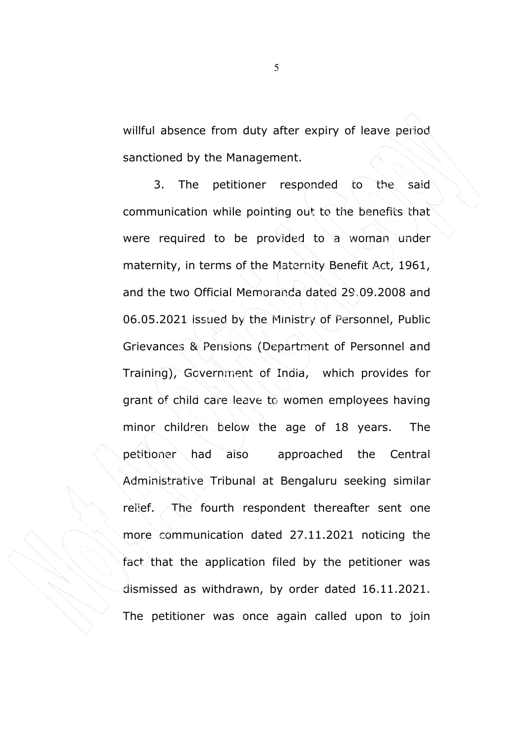willful absence from duty after expiry of leave period sanctioned by the Management.

3. The petitioner responded to the said communication while pointing out to the benefits that were required to be provided to a woman under maternity, in terms of the Maternity Benefit Act, 1961, and the two Official Memoranda dated 29.09.2008 and 06.05.2021 issued by the Ministry of Personnel, Public Grievances & Pensions (Department of Personnel and Training), Government of India, which provides for grant of child care leave to women employees having minor children below the age of 18 years. The petitioner had also approached the Central Administrative Tribunal at Bengaluru seeking similar relief. The fourth respondent thereafter sent one more communication dated 27.11.2021 noticing the fact that the application filed by the petitioner was dismissed as withdrawn, by order dated 16.11.2021. The petitioner was once again called upon to join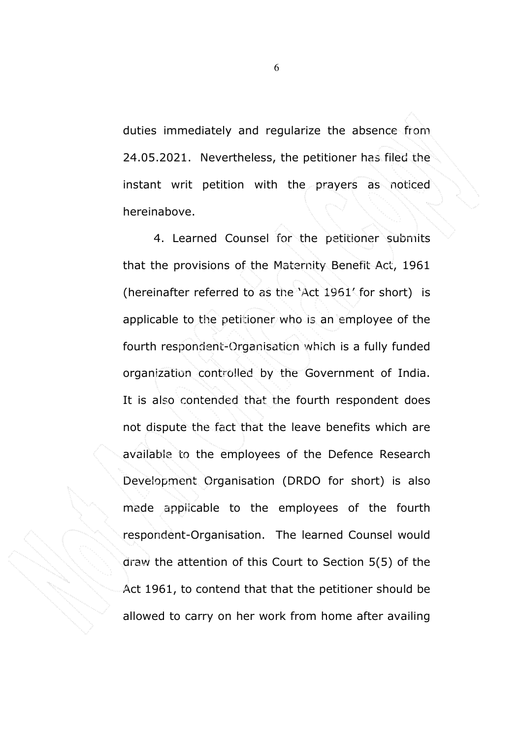duties immediately and regularize the absence from 24.05.2021. Nevertheless, the petitioner has filed the instant writ petition with the prayers as noticed hereinabove.

4. Learned Counsel for the petitioner submits that the provisions of the Maternity Benefit Act, 1961 (hereinafter referred to as the 'Act 1961' for short) is applicable to the petitioner who is an employee of the fourth respondent-Organisation which is a fully funded organization controlled by the Government of India. It is also contended that the fourth respondent does not dispute the fact that the leave benefits which are available to the employees of the Defence Research Development Organisation (DRDO for short) is also made applicable to the employees of the fourth respondent-Organisation. The learned Counsel would draw the attention of this Court to Section 5(5) of the Act 1961, to contend that that the petitioner should be allowed to carry on her work from home after availing

 $\overline{6}$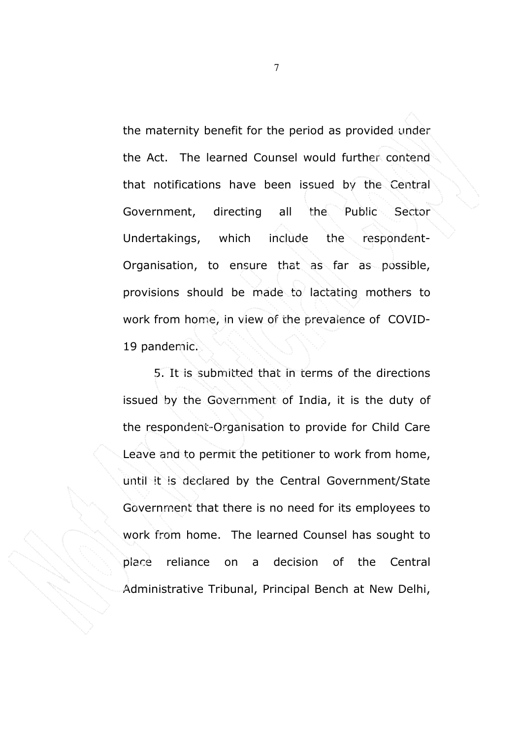the maternity benefit for the period as provided under the Act. The learned Counsel would further contend that notifications have been issued by the Central Government, directing all the Public Sector Undertakings, which include the respondent-Organisation, to ensure that as far as possible, provisions should be made to lactating mothers to work from home, in view of the prevalence of COVID-19 pandemic.

5. It is submitted that in terms of the directions issued by the Government of India, it is the duty of the respondent-Organisation to provide for Child Care Leave and to permit the petitioner to work from home, until it is declared by the Central Government/State Government that there is no need for its employees to work from home. The learned Counsel has sought to place reliance on a decision of the Central Administrative Tribunal, Principal Bench at New Delhi,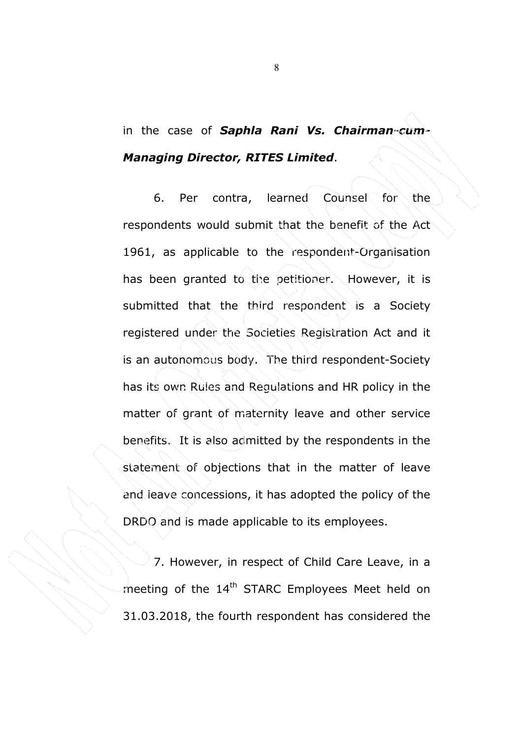# in the case of *Saphla Rani Vs. Chairman-cum-Managing Director, RITES Limited*.

6. Per contra, learned Counsel for the respondents would submit that the benefit of the Act 1961, as applicable to the respondent-Organisation has been granted to the petitioner. However, it is submitted that the third respondent is a Society registered under the Societies Registration Act and it is an autonomous body. The third respondent-Society has its own Rules and Regulations and HR policy in the matter of grant of maternity leave and other service benefits. It is also admitted by the respondents in the statement of objections that in the matter of leave and leave concessions, it has adopted the policy of the DRDO and is made applicable to its employees.

7. However, in respect of Child Care Leave, in a meeting of the 14<sup>th</sup> STARC Employees Meet held on 31.03.2018, the fourth respondent has considered the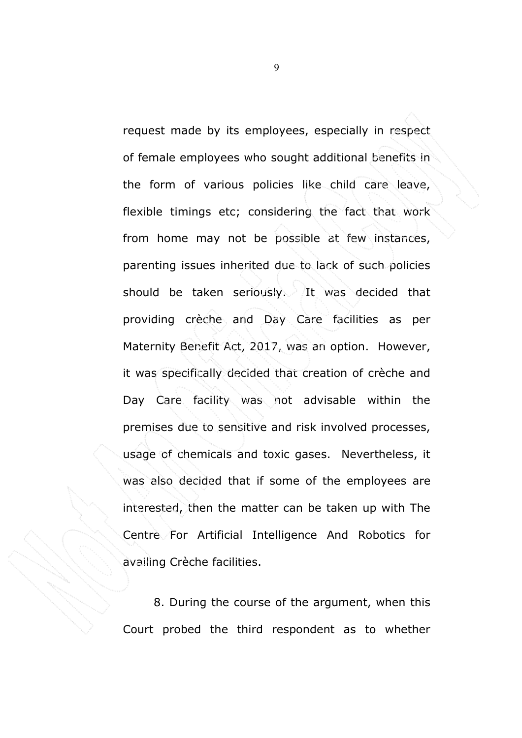request made by its employees, especially in respect of female employees who sought additional benefits in the form of various policies like child care leave, flexible timings etc; considering the fact that work from home may not be possible at few instances, parenting issues inherited due to lack of such policies should be taken seriously. It was decided that providing crèche and Day Care facilities as per Maternity Benefit Act, 2017, was an option. However, it was specifically decided that creation of crèche and Day Care facility was not advisable within the premises due to sensitive and risk involved processes, usage of chemicals and toxic gases. Nevertheless, it was also decided that if some of the employees are interested, then the matter can be taken up with The Centre For Artificial Intelligence And Robotics for availing Crèche facilities.

8. During the course of the argument, when this Court probed the third respondent as to whether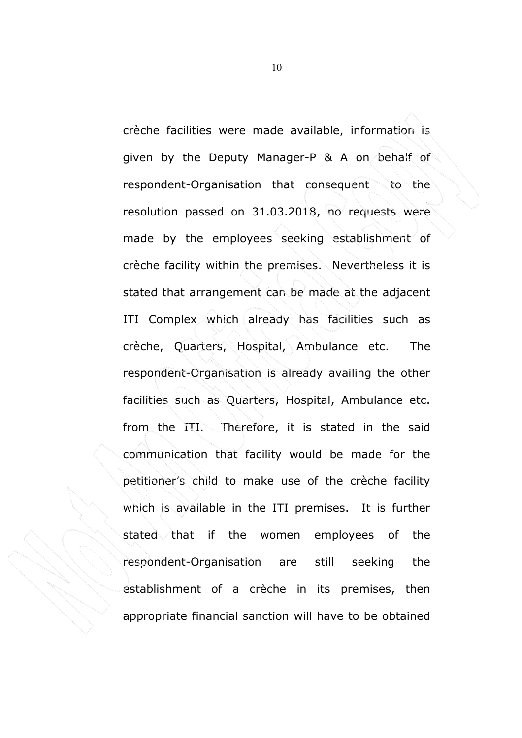crèche facilities were made available, information is given by the Deputy Manager-P & A on behalf of respondent-Organisation that consequent to the resolution passed on 31.03.2018, no requests were made by the employees seeking establishment of crèche facility within the premises. Nevertheless it is stated that arrangement can be made at the adjacent ITI Complex which already has facilities such as crèche, Quarters, Hospital, Ambulance etc. The respondent-Organisation is already availing the other facilities such as Quarters, Hospital, Ambulance etc. from the ITI. Therefore, it is stated in the said communication that facility would be made for the petitioner's child to make use of the crèche facility which is available in the ITI premises. It is further stated that if the women employees of the respondent-Organisation are still seeking the establishment of a crèche in its premises, then appropriate financial sanction will have to be obtained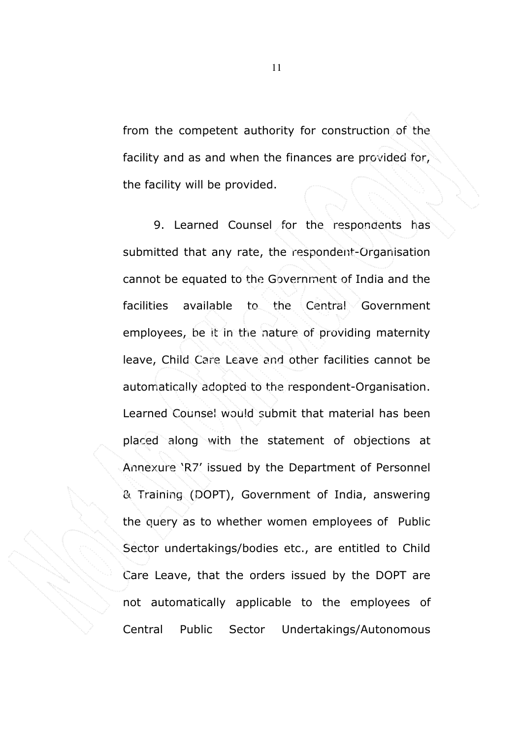from the competent authority for construction of the facility and as and when the finances are provided for, the facility will be provided.

9. Learned Counsel for the respondents has submitted that any rate, the respondent-Organisation cannot be equated to the Government of India and the facilities available to the Central Government employees, be it in the nature of providing maternity leave, Child Care Leave and other facilities cannot be automatically adopted to the respondent-Organisation. Learned Counsel would submit that material has been placed along with the statement of objections at Annexure 'R7' issued by the Department of Personnel & Training (DOPT), Government of India, answering the query as to whether women employees of Public Sector undertakings/bodies etc., are entitled to Child Care Leave, that the orders issued by the DOPT are not automatically applicable to the employees of Central Public Sector Undertakings/Autonomous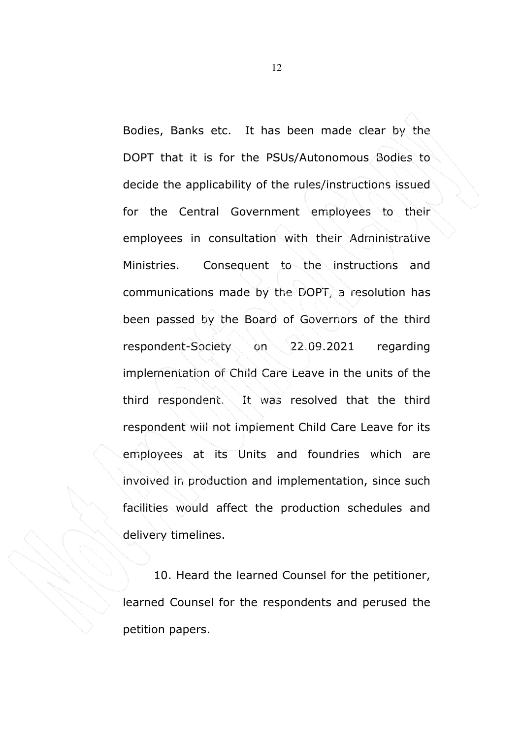Bodies, Banks etc. It has been made clear by the DOPT that it is for the PSUs/Autonomous Bodies to decide the applicability of the rules/instructions issued for the Central Government employees to their employees in consultation with their Administrative Ministries. Consequent to the instructions and communications made by the DOPT, a resolution has been passed by the Board of Governors of the third respondent-Society on 22.09.2021 regarding implementation of Child Care Leave in the units of the third respondent. It was resolved that the third respondent will not implement Child Care Leave for its employees at its Units and foundries which are involved in production and implementation, since such facilities would affect the production schedules and delivery timelines.

10. Heard the learned Counsel for the petitioner, learned Counsel for the respondents and perused the petition papers.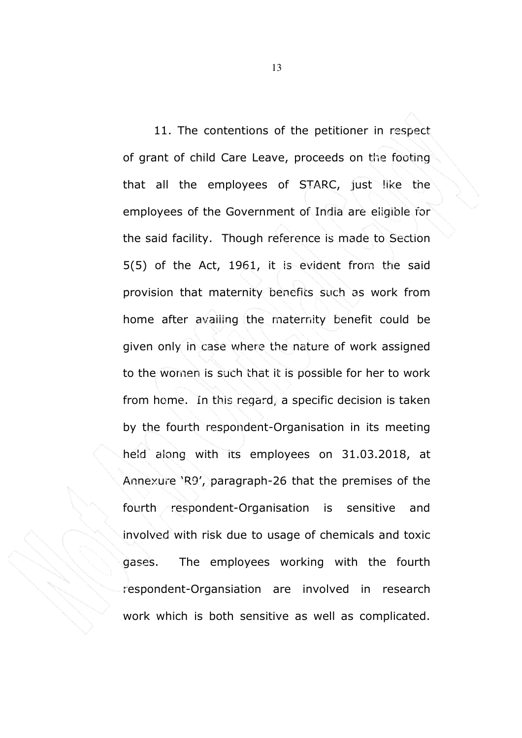11. The contentions of the petitioner in respect of grant of child Care Leave, proceeds on the footing that all the employees of STARC, just like the employees of the Government of India are eligible for the said facility. Though reference is made to Section 5(5) of the Act, 1961, it is evident from the said provision that maternity benefits such as work from home after availing the maternity benefit could be given only in case where the nature of work assigned to the women is such that it is possible for her to work from home. In this regard, a specific decision is taken by the fourth respondent-Organisation in its meeting held along with its employees on 31.03.2018, at Annexure 'R9', paragraph-26 that the premises of the fourth respondent-Organisation is sensitive and involved with risk due to usage of chemicals and toxic gases. The employees working with the fourth respondent-Organsiation are involved in research work which is both sensitive as well as complicated.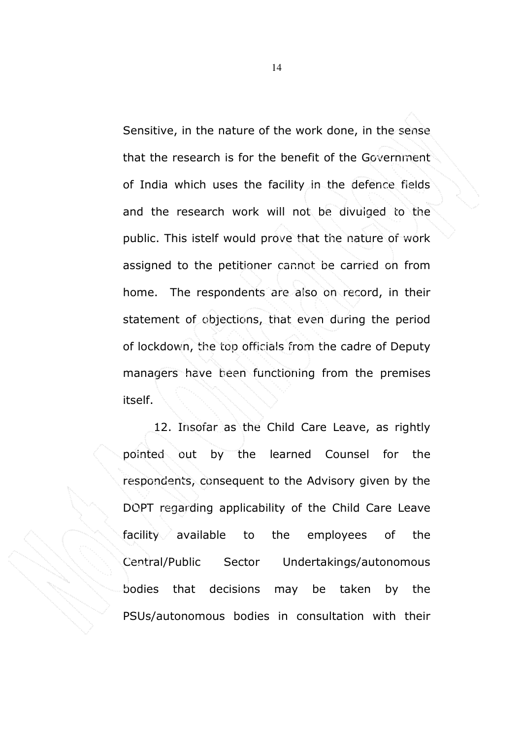Sensitive, in the nature of the work done, in the sense that the research is for the benefit of the Government of India which uses the facility in the defence fields and the research work will not be divulged to the public. This istelf would prove that the nature of work assigned to the petitioner cannot be carried on from home. The respondents are also on record, in their statement of objections, that even during the period of lockdown, the top officials from the cadre of Deputy managers have been functioning from the premises itself.

12. Insofar as the Child Care Leave, as rightly pointed out by the learned Counsel for the respondents, consequent to the Advisory given by the DOPT regarding applicability of the Child Care Leave facility available to the employees of the Central/Public Sector Undertakings/autonomous bodies that decisions may be taken by the PSUs/autonomous bodies in consultation with their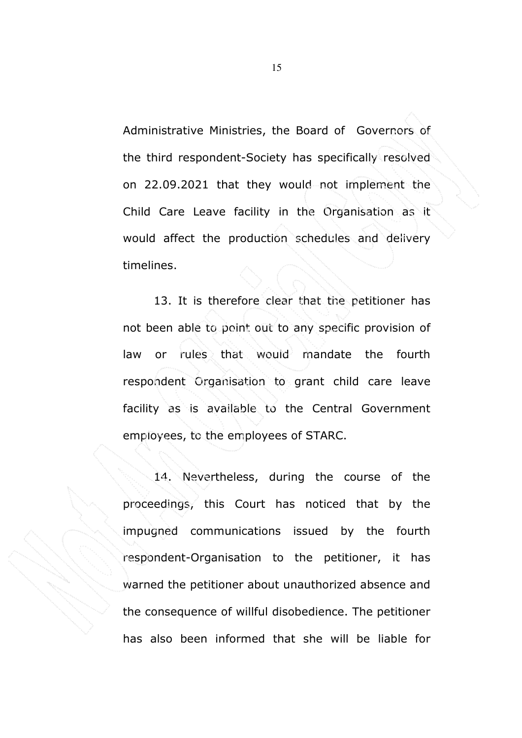Administrative Ministries, the Board of Governors of the third respondent-Society has specifically resolved on 22.09.2021 that they would not implement the Child Care Leave facility in the Organisation as it would affect the production schedules and delivery timelines.

13. It is therefore clear that the petitioner has not been able to point out to any specific provision of law or rules that would mandate the fourth respondent Organisation to grant child care leave facility as is available to the Central Government employees, to the employees of STARC.

14. Nevertheless, during the course of the proceedings, this Court has noticed that by the impugned communications issued by the fourth respondent-Organisation to the petitioner, it has warned the petitioner about unauthorized absence and the consequence of willful disobedience. The petitioner has also been informed that she will be liable for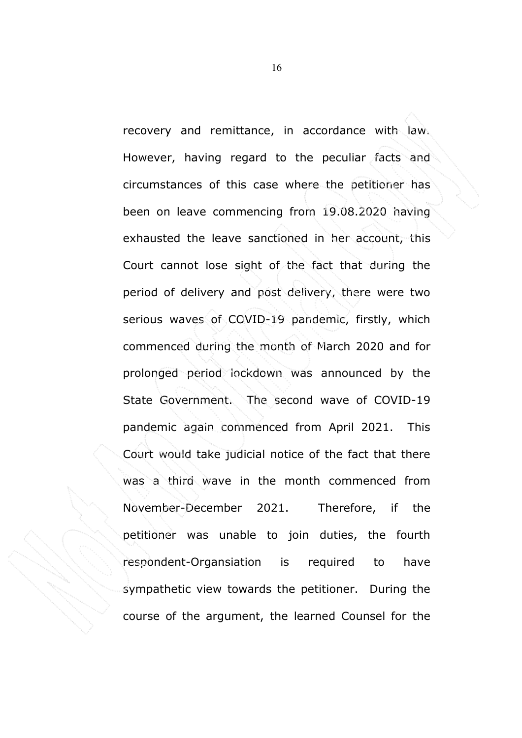recovery and remittance, in accordance with law. However, having regard to the peculiar facts and circumstances of this case where the petitioner has been on leave commencing from 19.08.2020 having exhausted the leave sanctioned in her account, this Court cannot lose sight of the fact that during the period of delivery and post delivery, there were two serious waves of COVID-19 pandemic, firstly, which commenced during the month of March 2020 and for prolonged period lockdown was announced by the State Government. The second wave of COVID-19 pandemic again commenced from April 2021. This Court would take judicial notice of the fact that there was a third wave in the month commenced from November-December 2021. Therefore, if the petitioner was unable to join duties, the fourth respondent-Organsiation is required to have sympathetic view towards the petitioner. During the course of the argument, the learned Counsel for the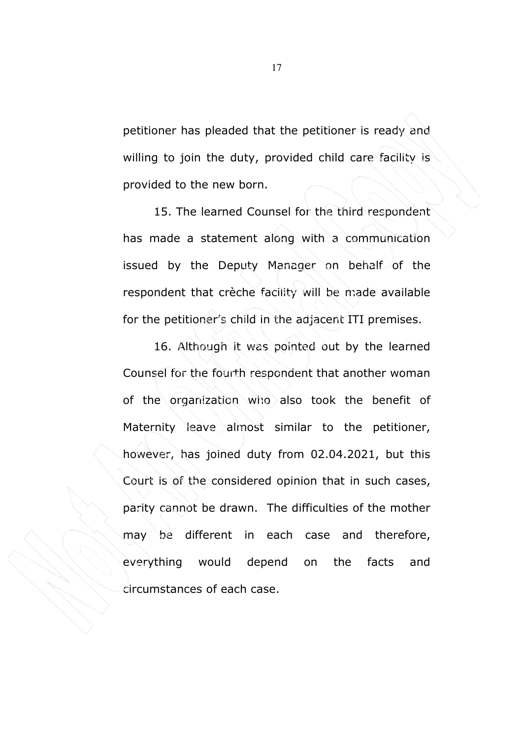petitioner has pleaded that the petitioner is ready and willing to join the duty, provided child care facility is provided to the new born.

15. The learned Counsel for the third respondent has made a statement along with a communication issued by the Deputy Manager on behalf of the respondent that crèche facility will be made available for the petitioner's child in the adjacent ITI premises.

16. Although it was pointed out by the learned Counsel for the fourth respondent that another woman of the organization who also took the benefit of Maternity leave almost similar to the petitioner, however, has joined duty from 02.04.2021, but this Court is of the considered opinion that in such cases, parity cannot be drawn. The difficulties of the mother may be different in each case and therefore, everything would depend on the facts and circumstances of each case.